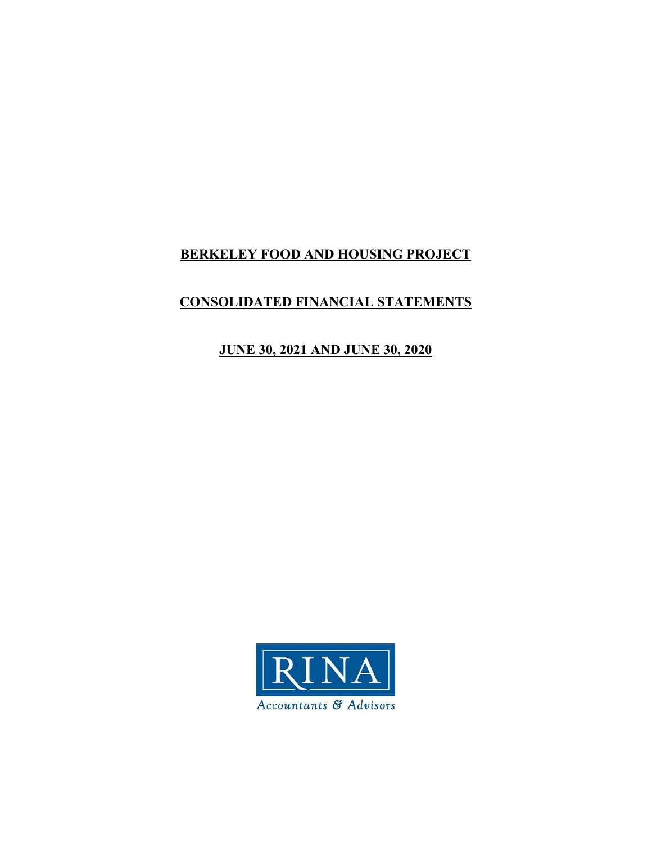# **CONSOLIDATED FINANCIAL STATEMENTS**

# **JUNE 30, 2021 AND JUNE 30, 2020**

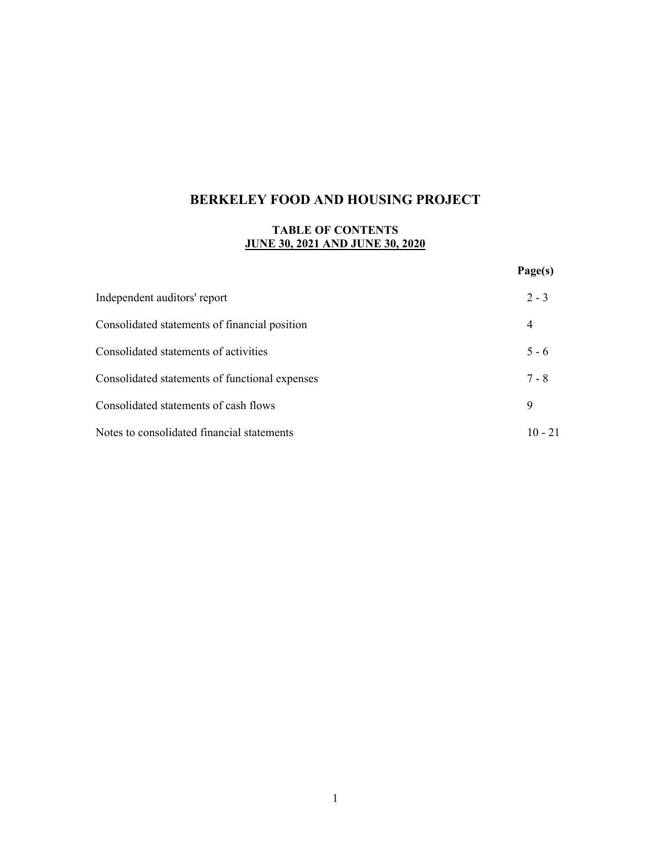# **TABLE OF CONTENTS JUNE 30, 2021 AND JUNE 30, 2020**

|                                                | Page(s)        |
|------------------------------------------------|----------------|
| Independent auditors' report                   | $2 - 3$        |
| Consolidated statements of financial position  | $\overline{4}$ |
| Consolidated statements of activities          | $5 - 6$        |
| Consolidated statements of functional expenses | $7 - 8$        |
| Consolidated statements of cash flows          | 9              |
| Notes to consolidated financial statements     | $10 - 21$      |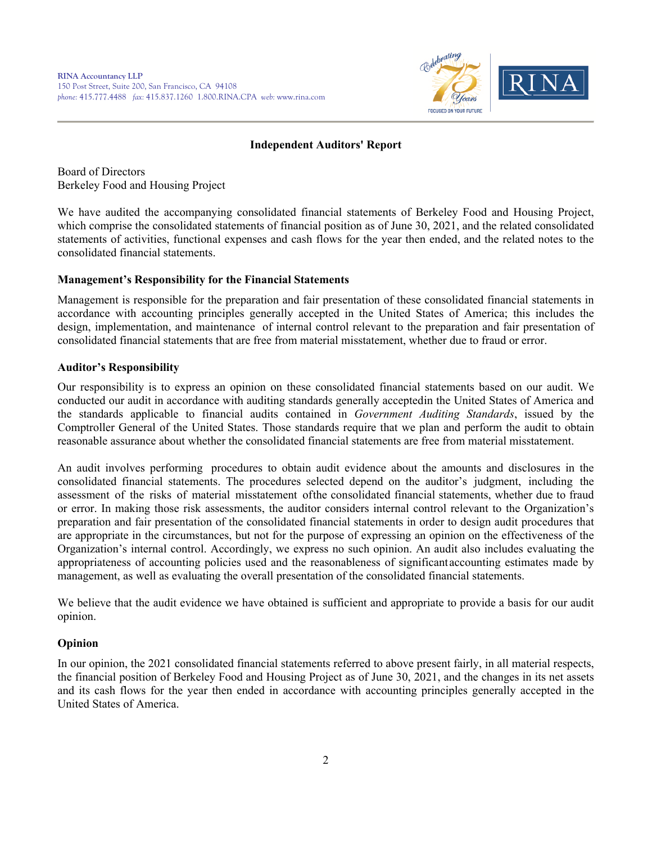

# **Independent Auditors' Report**

Board of Directors Berkeley Food and Housing Project

We have audited the accompanying consolidated financial statements of Berkeley Food and Housing Project, which comprise the consolidated statements of financial position as of June 30, 2021, and the related consolidated statements of activities, functional expenses and cash flows for the year then ended, and the related notes to the consolidated financial statements.

# **Management's Responsibility for the Financial Statements**

Management is responsible for the preparation and fair presentation of these consolidated financial statements in accordance with accounting principles generally accepted in the United States of America; this includes the design, implementation, and maintenance of internal control relevant to the preparation and fair presentation of consolidated financial statements that are free from material misstatement, whether due to fraud or error.

# **Auditor's Responsibility**

Our responsibility is to express an opinion on these consolidated financial statements based on our audit. We conducted our audit in accordance with auditing standards generally accepted in the United States of America and the standards applicable to financial audits contained in *Government Auditing Standards*, issued by the Comptroller General of the United States. Those standards require that we plan and perform the audit to obtain reasonable assurance about whether the consolidated financial statements are free from material misstatement.

An audit involves performing procedures to obtain audit evidence about the amounts and disclosures in the consolidated financial statements. The procedures selected depend on the auditor's judgment, including the assessment of the risks of material misstatement of the consolidated financial statements, whether due to fraud or error. In making those risk assessments, the auditor considers internal control relevant to the Organization's preparation and fair presentation of the consolidated financial statements in order to design audit procedures that are appropriate in the circumstances, but not for the purpose of expressing an opinion on the effectiveness of the Organization's internal control. Accordingly, we express no such opinion. An audit also includes evaluating the appropriateness of accounting policies used and the reasonableness of significant accounting estimates made by management, as well as evaluating the overall presentation of the consolidated financial statements.

We believe that the audit evidence we have obtained is sufficient and appropriate to provide a basis for our audit opinion.

# **Opinion**

In our opinion, the 2021 consolidated financial statements referred to above present fairly, in all material respects, the financial position of Berkeley Food and Housing Project as of June 30, 2021, and the changes in its net assets and its cash flows for the year then ended in accordance with accounting principles generally accepted in the United States of America.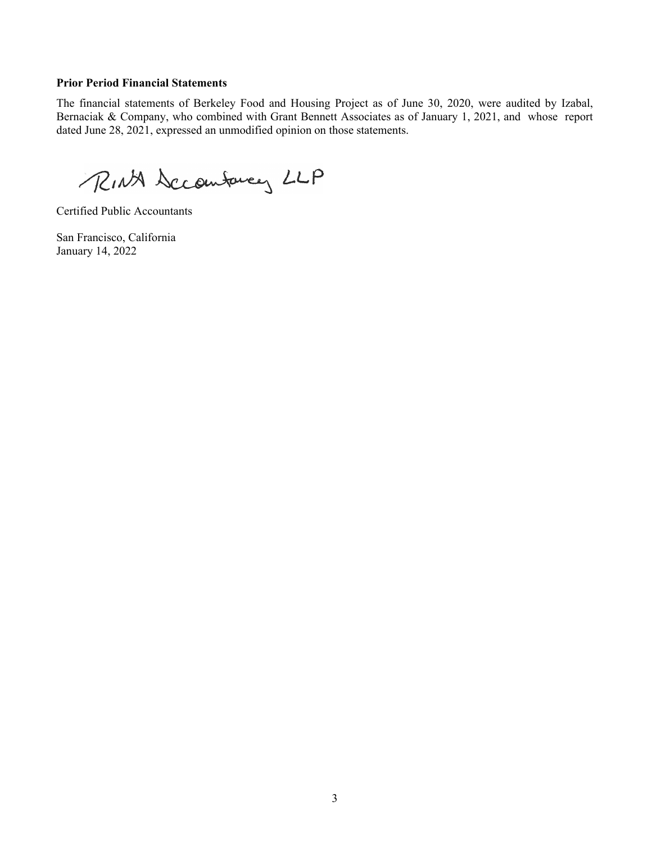## **Prior Period Financial Statements**

The financial statements of Berkeley Food and Housing Project as of June 30, 2020, were audited by Izabal, Bernaciak & Company, who combined with Grant Bennett Associates as of January 1, 2021, and whose report dated June 28, 2021, expressed an unmodified opinion on those statements.

RINA Accombances LLP

Certified Public Accountants

San Francisco, California January 14, 2022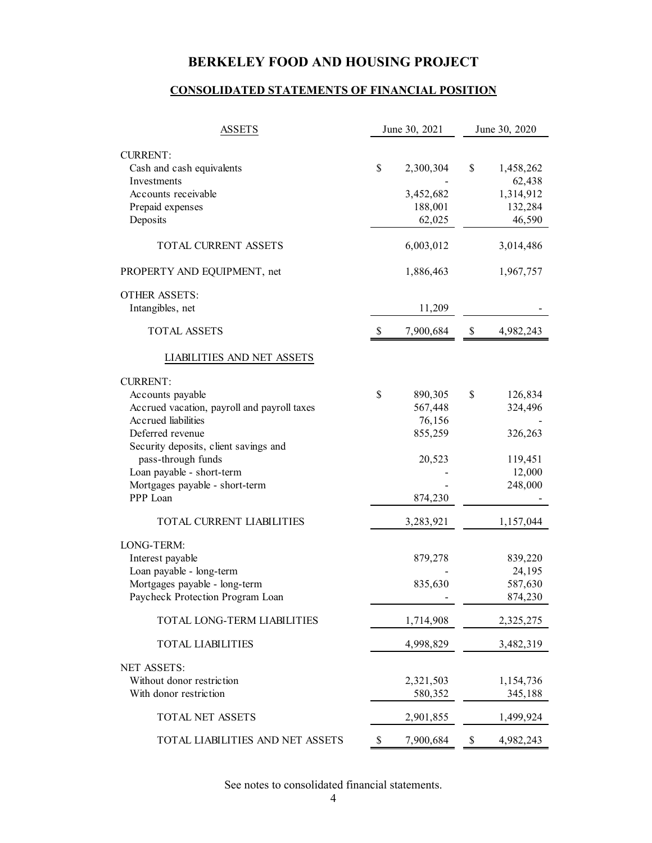# **CONSOLIDATED STATEMENTS OF FINANCIAL POSITION**

| <b>ASSETS</b>                               | June 30, 2021 |           | June 30, 2020 |           |
|---------------------------------------------|---------------|-----------|---------------|-----------|
| <b>CURRENT:</b>                             |               |           |               |           |
| Cash and cash equivalents                   | \$            | 2,300,304 | \$            | 1,458,262 |
| Investments                                 |               |           |               | 62,438    |
| Accounts receivable                         |               | 3,452,682 |               | 1,314,912 |
| Prepaid expenses                            |               | 188,001   |               | 132,284   |
| Deposits                                    |               | 62,025    |               | 46,590    |
| TOTAL CURRENT ASSETS                        |               | 6,003,012 |               | 3,014,486 |
| PROPERTY AND EQUIPMENT, net                 |               | 1,886,463 |               | 1,967,757 |
| <b>OTHER ASSETS:</b>                        |               |           |               |           |
| Intangibles, net                            |               | 11,209    |               |           |
| <b>TOTAL ASSETS</b>                         | \$            | 7,900,684 | \$            | 4,982,243 |
| LIABILITIES AND NET ASSETS                  |               |           |               |           |
| <b>CURRENT:</b>                             |               |           |               |           |
| Accounts payable                            | \$            | 890,305   | \$            | 126,834   |
| Accrued vacation, payroll and payroll taxes |               | 567,448   |               | 324,496   |
| Accrued liabilities                         |               | 76,156    |               |           |
| Deferred revenue                            |               | 855,259   |               | 326,263   |
| Security deposits, client savings and       |               |           |               |           |
| pass-through funds                          |               | 20,523    |               | 119,451   |
| Loan payable - short-term                   |               |           |               | 12,000    |
| Mortgages payable - short-term              |               |           |               | 248,000   |
| PPP Loan                                    |               | 874,230   |               |           |
| TOTAL CURRENT LIABILITIES                   |               | 3,283,921 |               | 1,157,044 |
| LONG-TERM:                                  |               |           |               |           |
| Interest payable                            |               | 879,278   |               | 839,220   |
| Loan payable - long-term                    |               |           |               | 24,195    |
| Mortgages payable - long-term               |               | 835,630   |               | 587,630   |
| Paycheck Protection Program Loan            |               |           |               | 874,230   |
| TOTAL LONG-TERM LIABILITIES                 |               | 1,714,908 |               | 2,325,275 |
| <b>TOTAL LIABILITIES</b>                    |               | 4,998,829 |               | 3,482,319 |
| <b>NET ASSETS:</b>                          |               |           |               |           |
| Without donor restriction                   |               | 2,321,503 |               | 1,154,736 |
| With donor restriction                      |               | 580,352   |               | 345,188   |
| TOTAL NET ASSETS                            |               | 2,901,855 |               | 1,499,924 |
| TOTAL LIABILITIES AND NET ASSETS            | \$            | 7,900,684 | \$            | 4,982,243 |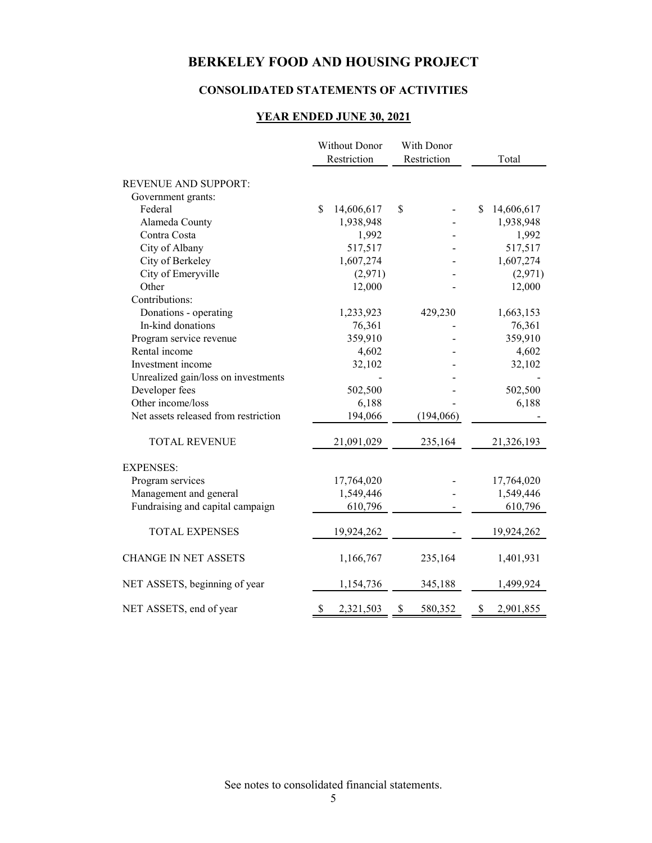# **CONSOLIDATED STATEMENTS OF ACTIVITIES**

# **YEAR ENDED JUNE 30, 2021**

|                                      | Without Donor    | With Donor    |                  |
|--------------------------------------|------------------|---------------|------------------|
|                                      | Restriction      | Restriction   | Total            |
| REVENUE AND SUPPORT:                 |                  |               |                  |
| Government grants:                   |                  |               |                  |
| Federal                              | \$<br>14,606,617 | \$            | 14,606,617<br>\$ |
| Alameda County                       | 1,938,948        |               | 1,938,948        |
| Contra Costa                         | 1,992            |               | 1,992            |
| City of Albany                       | 517,517          |               | 517,517          |
| City of Berkeley                     | 1,607,274        |               | 1,607,274        |
| City of Emeryville                   | (2,971)          |               | (2,971)          |
| Other                                | 12,000           |               | 12,000           |
| Contributions:                       |                  |               |                  |
| Donations - operating                | 1,233,923        | 429,230       | 1,663,153        |
| In-kind donations                    | 76,361           |               | 76,361           |
| Program service revenue              | 359,910          |               | 359,910          |
| Rental income                        | 4,602            |               | 4,602            |
| Investment income                    | 32,102           |               | 32,102           |
| Unrealized gain/loss on investments  |                  |               |                  |
| Developer fees                       | 502,500          |               | 502,500          |
| Other income/loss                    | 6,188            |               | 6,188            |
| Net assets released from restriction | 194,066          | (194,066)     |                  |
| <b>TOTAL REVENUE</b>                 | 21,091,029       | 235,164       | 21,326,193       |
| <b>EXPENSES:</b>                     |                  |               |                  |
| Program services                     | 17,764,020       |               | 17,764,020       |
| Management and general               | 1,549,446        |               | 1,549,446        |
| Fundraising and capital campaign     | 610,796          |               | 610,796          |
| <b>TOTAL EXPENSES</b>                | 19,924,262       |               | 19,924,262       |
| <b>CHANGE IN NET ASSETS</b>          | 1,166,767        | 235,164       | 1,401,931        |
| NET ASSETS, beginning of year        | 1,154,736        | 345,188       | 1,499,924        |
| NET ASSETS, end of year              | \$<br>2,321,503  | \$<br>580,352 | 2,901,855<br>\$  |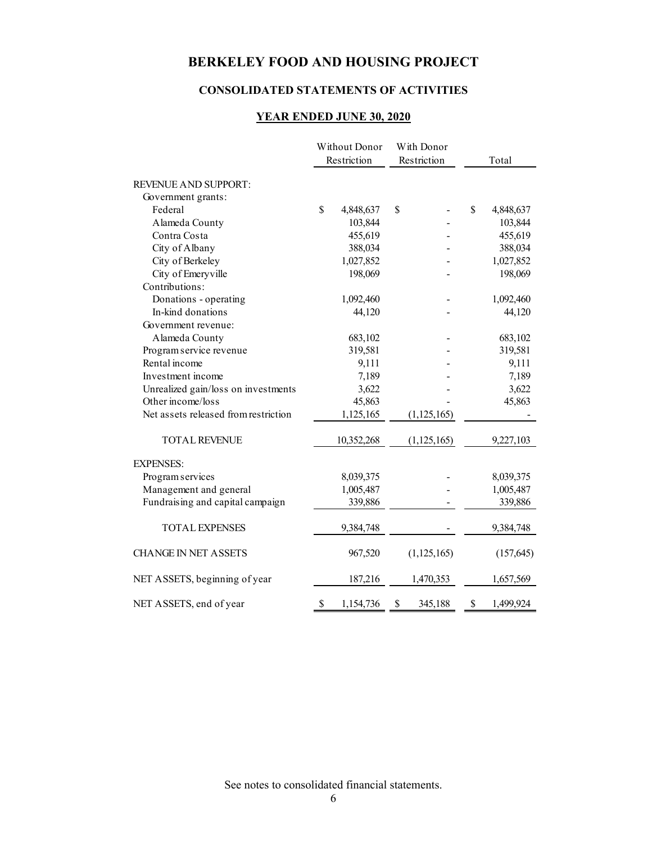# **CONSOLIDATED STATEMENTS OF ACTIVITIES**

# **YEAR ENDED JUNE 30, 2020**

|                                      | Without Donor<br>Restriction |            | With Donor<br>Restriction |             | Total           |
|--------------------------------------|------------------------------|------------|---------------------------|-------------|-----------------|
| <b>REVENUE AND SUPPORT:</b>          |                              |            |                           |             |                 |
| Government grants:                   |                              |            |                           |             |                 |
| Federal                              | \$                           | 4,848,637  | \$                        |             | \$<br>4,848,637 |
| Alameda County                       |                              | 103,844    |                           |             | 103,844         |
| Contra Costa                         |                              | 455,619    |                           |             | 455,619         |
| City of Albany                       |                              | 388,034    |                           |             | 388,034         |
| City of Berkeley                     |                              | 1,027,852  |                           |             | 1,027,852       |
| City of Emeryville                   |                              | 198,069    |                           |             | 198,069         |
| Contributions:                       |                              |            |                           |             |                 |
| Donations - operating                |                              | 1,092,460  |                           |             | 1,092,460       |
| In-kind donations                    |                              | 44,120     |                           |             | 44,120          |
| Government revenue:                  |                              |            |                           |             |                 |
| Alameda County                       |                              | 683,102    |                           |             | 683,102         |
| Program service revenue              |                              | 319,581    |                           |             | 319,581         |
| Rental income                        |                              | 9,111      |                           |             | 9,111           |
| Investment income                    |                              | 7,189      |                           |             | 7,189           |
| Unrealized gain/loss on investments  |                              | 3,622      |                           |             | 3,622           |
| Other income/loss                    |                              | 45,863     |                           |             | 45,863          |
| Net assets released from restriction |                              | 1,125,165  |                           | (1,125,165) |                 |
| <b>TOTAL REVENUE</b>                 |                              | 10,352,268 |                           | (1,125,165) | 9,227,103       |
| <b>EXPENSES:</b>                     |                              |            |                           |             |                 |
| Program services                     |                              | 8,039,375  |                           |             | 8,039,375       |
| Management and general               |                              | 1,005,487  |                           |             | 1,005,487       |
| Fundraising and capital campaign     |                              | 339,886    |                           |             | 339,886         |
| <b>TOTAL EXPENSES</b>                |                              | 9,384,748  |                           |             | 9,384,748       |
| <b>CHANGE IN NET ASSETS</b>          |                              | 967,520    |                           | (1,125,165) | (157, 645)      |
| NET ASSETS, beginning of year        |                              | 187,216    |                           | 1,470,353   | 1,657,569       |
| NET ASSETS, end of year              | \$                           | 1,154,736  | \$                        | 345,188     | \$<br>1,499,924 |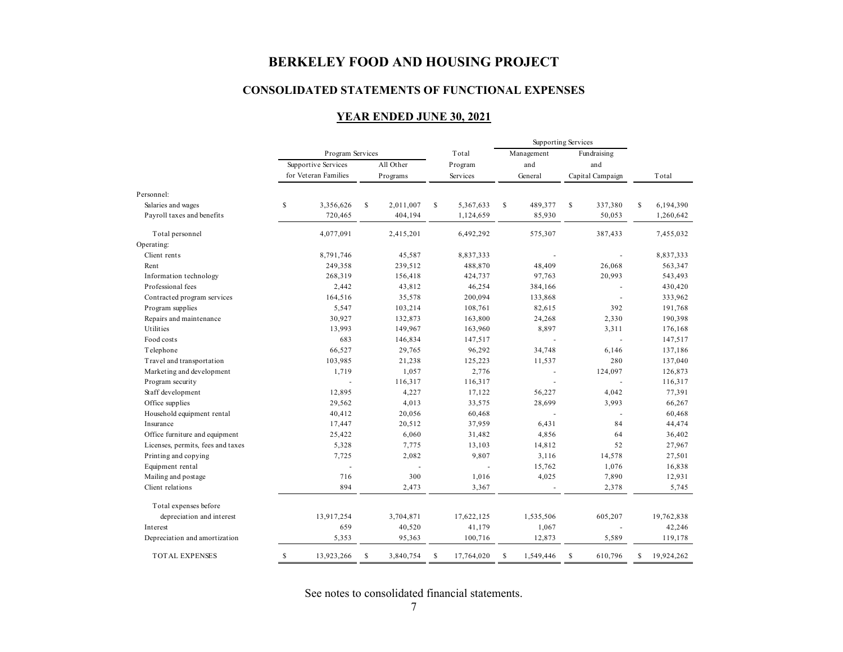#### **CONSOLIDATED STATEMENTS OF FUNCTIONAL EXPENSES**

# **YEAR ENDED JUNE 30, 2021**

|                                   |    |                      |               |           |                  | Supporting Services |              |            |     |                  |    |            |
|-----------------------------------|----|----------------------|---------------|-----------|------------------|---------------------|--------------|------------|-----|------------------|----|------------|
|                                   |    | Program Services     |               |           | Total<br>Program |                     |              | Management |     | Fundraising      |    |            |
|                                   |    | Supportive Services  |               | All Other |                  |                     |              | and        | and |                  |    |            |
|                                   |    | for Veteran Families |               | Programs  |                  | Services            |              | General    |     | Capital Campaign |    | Total      |
| Personnel:                        |    |                      |               |           |                  |                     |              |            |     |                  |    |            |
| Salaries and wages                | \$ | 3,356,626            | \$            | 2,011,007 | S                | 5,367,633           | \$           | 489,377    | S   | 337,380          | \$ | 6,194,390  |
| Payroll taxes and benefits        |    | 720,465              |               | 404,194   |                  | 1,124,659           |              | 85,930     |     | 50,053           |    | 1,260,642  |
| Total personnel                   |    | 4,077,091            |               | 2,415,201 |                  | 6,492,292           |              | 575,307    |     | 387,433          |    | 7,455,032  |
| Operating:                        |    |                      |               |           |                  |                     |              |            |     |                  |    |            |
| Client rents                      |    | 8,791,746            |               | 45,587    |                  | 8,837,333           |              |            |     |                  |    | 8,837,333  |
| Rent                              |    | 249,358              |               | 239,512   |                  | 488,870             |              | 48,409     |     | 26,068           |    | 563,347    |
| Information technology            |    | 268,319              |               | 156,418   |                  | 424,737             |              | 97,763     |     | 20,993           |    | 543,493    |
| Professional fees                 |    | 2,442                |               | 43,812    |                  | 46,254              |              | 384,166    |     |                  |    | 430,420    |
| Contracted program services       |    | 164,516              |               | 35,578    |                  | 200,094             |              | 133,868    |     | ÷.               |    | 333,962    |
| Program supplies                  |    | 5,547                |               | 103,214   |                  | 108,761             |              | 82,615     |     | 392              |    | 191,768    |
| Repairs and maintenance           |    | 30,927               |               | 132,873   |                  | 163,800             |              | 24,268     |     | 2,330            |    | 190,398    |
| Utilities                         |    | 13,993               |               | 149,967   |                  | 163,960             |              | 8,897      |     | 3,311            |    | 176,168    |
| Food costs                        |    | 683                  |               | 146,834   |                  | 147,517             |              |            |     |                  |    | 147,517    |
| Telephone                         |    | 66,527               |               | 29,765    |                  | 96,292              |              | 34,748     |     | 6,146            |    | 137,186    |
| Travel and transportation         |    | 103,985              |               | 21,238    |                  | 125,223             |              | 11,537     |     | 280              |    | 137,040    |
| Marketing and development         |    | 1,719                |               | 1,057     |                  | 2,776               |              |            |     | 124,097          |    | 126,873    |
| Program security                  |    |                      |               | 116,317   |                  | 116,317             |              |            |     |                  |    | 116,317    |
| Staff development                 |    | 12,895               |               | 4,227     |                  | 17,122              |              | 56,227     |     | 4,042            |    | 77,391     |
| Office supplies                   |    | 29,562               |               | 4,013     |                  | 33,575              |              | 28,699     |     | 3,993            |    | 66,267     |
| Household equipment rental        |    | 40,412               |               | 20,056    |                  | 60,468              |              |            |     | ÷,               |    | 60,468     |
| Insurance                         |    | 17,447               |               | 20,512    |                  | 37,959              |              | 6,431      |     | 84               |    | 44,474     |
| Office furniture and equipment    |    | 25,422               |               | 6,060     |                  | 31,482              |              | 4,856      |     | 64               |    | 36,402     |
| Licenses, permits, fees and taxes |    | 5,328                |               | 7,775     |                  | 13,103              |              | 14,812     |     | 52               |    | 27,967     |
| Printing and copying              |    | 7,725                |               | 2,082     |                  | 9,807               |              | 3,116      |     | 14,578           |    | 27,501     |
| Equipment rental                  |    |                      |               |           |                  | ÷,                  |              | 15,762     |     | 1,076            |    | 16,838     |
| Mailing and postage               |    | 716                  |               | 300       |                  | 1,016               |              | 4,025      |     | 7,890            |    | 12,931     |
| Client relations                  |    | 894                  |               | 2,473     |                  | 3,367               |              |            |     | 2,378            |    | 5,745      |
| Total expenses before             |    |                      |               |           |                  |                     |              |            |     |                  |    |            |
| depreciation and interest         |    | 13,917,254           |               | 3,704,871 |                  | 17,622,125          |              | 1,535,506  |     | 605,207          |    | 19,762,838 |
| Interest                          |    | 659                  |               | 40,520    |                  | 41,179              |              | 1,067      |     |                  |    | 42,246     |
| Depreciation and amortization     |    | 5,353                |               | 95,363    |                  | 100,716             |              | 12,873     |     | 5,589            |    | 119,178    |
| <b>TOTAL EXPENSES</b>             | \$ | 13,923,266           | <sup>\$</sup> | 3,840,754 | S                | 17,764,020          | $\mathbb{S}$ | 1,549,446  | S   | 610,796          | S. | 19,924,262 |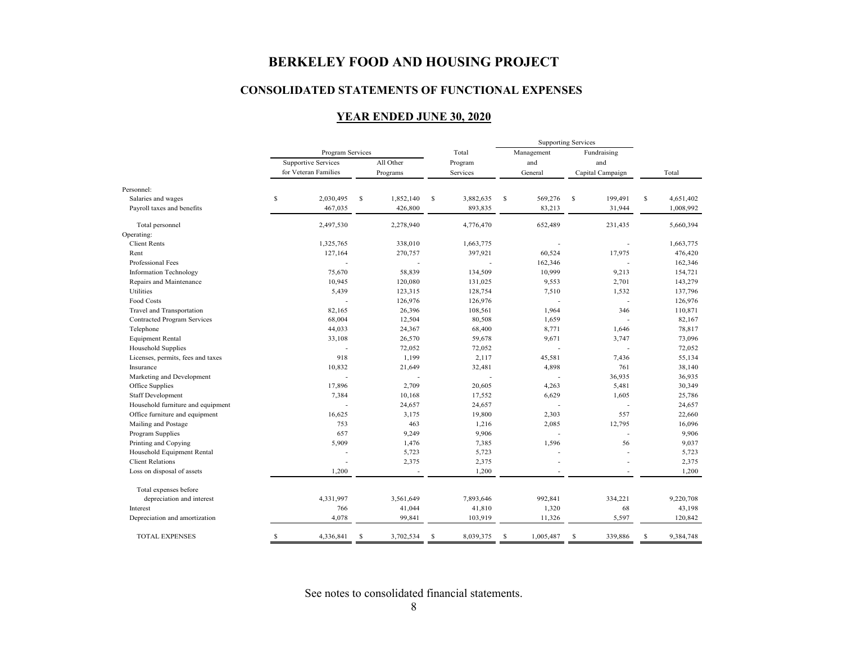#### **CONSOLIDATED STATEMENTS OF FUNCTIONAL EXPENSES**

# **YEAR ENDED JUNE 30, 2020**

|                                    |                            |                 |                            | <b>Supporting Services</b> |                         |                            |
|------------------------------------|----------------------------|-----------------|----------------------------|----------------------------|-------------------------|----------------------------|
|                                    | Program Services           |                 | Total                      | Management                 | Fundraising             |                            |
|                                    | <b>Supportive Services</b> | All Other       | Program                    | and                        | and                     |                            |
|                                    | for Veteran Families       | Programs        | Services                   | General                    | Capital Campaign        | Total                      |
| Personnel:                         |                            |                 |                            |                            |                         |                            |
| Salaries and wages                 | $\mathbb{S}$<br>2,030,495  | \$<br>1,852,140 | <sup>\$</sup><br>3,882,635 | 569,276<br>S               | $\mathbf{s}$<br>199,491 | $\mathbb{S}$<br>4,651,402  |
| Payroll taxes and benefits         | 467,035                    | 426,800         | 893,835                    | 83,213                     | 31,944                  | 1,008,992                  |
| Total personnel                    | 2,497,530                  | 2,278,940       | 4,776,470                  | 652,489                    | 231,435                 | 5,660,394                  |
| Operating:                         |                            |                 |                            |                            |                         |                            |
| <b>Client Rents</b>                | 1,325,765                  | 338,010         | 1,663,775                  |                            |                         | 1,663,775                  |
| Rent                               | 127,164                    | 270,757         | 397,921                    | 60,524                     | 17,975                  | 476,420                    |
| Professional Fees                  |                            |                 |                            | 162,346                    |                         | 162,346                    |
| <b>Information Technology</b>      | 75,670                     | 58,839          | 134,509                    | 10,999                     | 9,213                   | 154,721                    |
| Repairs and Maintenance            | 10,945                     | 120,080         | 131,025                    | 9,553                      | 2,701                   | 143,279                    |
| Utilities                          | 5,439                      | 123,315         | 128,754                    | 7,510                      | 1,532                   | 137,796                    |
| Food Costs                         |                            | 126,976         | 126,976                    |                            | L.                      | 126,976                    |
| Travel and Transportation          | 82,165                     | 26,396          | 108,561                    | 1,964                      | 346                     | 110,871                    |
| <b>Contracted Program Services</b> | 68,004                     | 12,504          | 80,508                     | 1,659                      |                         | 82,167                     |
| Telephone                          | 44,033                     | 24,367          | 68,400                     | 8,771                      | 1,646                   | 78,817                     |
| <b>Equipment Rental</b>            | 33,108                     | 26,570          | 59,678                     | 9,671                      | 3,747                   | 73,096                     |
| Household Supplies                 |                            | 72,052          | 72,052                     |                            | ÷,                      | 72,052                     |
| Licenses, permits, fees and taxes  | 918                        | 1,199           | 2,117                      | 45,581                     | 7,436                   | 55,134                     |
| Insurance                          | 10,832                     | 21,649          | 32,481                     | 4,898                      | 761                     | 38,140                     |
| Marketing and Development          |                            |                 | $\overline{a}$             |                            | 36,935                  | 36,935                     |
| Office Supplies                    | 17,896                     | 2,709           | 20,605                     | 4,263                      | 5,481                   | 30,349                     |
| <b>Staff Development</b>           | 7,384                      | 10,168          | 17,552                     | 6,629                      | 1,605                   | 25,786                     |
| Household furniture and equipment  |                            | 24,657          | 24,657                     | $\overline{\phantom{a}}$   | L,                      | 24,657                     |
| Office furniture and equipment     | 16,625                     | 3,175           | 19,800                     | 2,303                      | 557                     | 22,660                     |
| Mailing and Postage                | 753                        | 463             | 1,216                      | 2,085                      | 12,795                  | 16,096                     |
| Program Supplies                   | 657                        | 9,249           | 9,906                      |                            | L,                      | 9,906                      |
| Printing and Copying               | 5,909                      | 1,476           | 7,385                      | 1,596                      | 56                      | 9,037                      |
| Household Equipment Rental         |                            | 5,723           | 5,723                      |                            |                         | 5,723                      |
| <b>Client Relations</b>            |                            | 2,375           | 2,375                      |                            |                         | 2,375                      |
| Loss on disposal of assets         | 1,200                      |                 | 1,200                      |                            |                         | 1,200                      |
|                                    |                            |                 |                            |                            |                         |                            |
| Total expenses before              |                            |                 |                            |                            |                         |                            |
| depreciation and interest          | 4,331,997                  | 3,561,649       | 7,893,646                  | 992,841                    | 334,221                 | 9,220,708                  |
| Interest                           | 766                        | 41,044          | 41,810                     | 1,320                      | 68                      | 43,198                     |
| Depreciation and amortization      | 4,078                      | 99,841          | 103,919                    | 11,326                     | 5,597                   | 120,842                    |
| <b>TOTAL EXPENSES</b>              | s<br>4,336,841             | 3,702,534<br>\$ | 8,039,375<br>-S            | 1,005,487<br>s             | 339,886<br>\$           | 9,384,748<br><sup>\$</sup> |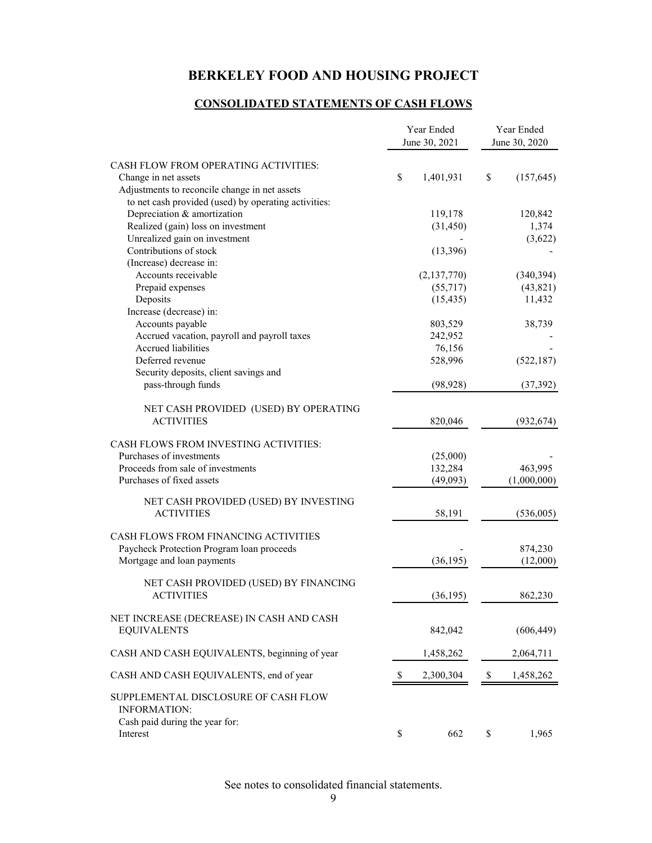# **CONSOLIDATED STATEMENTS OF CASH FLOWS**

|                                                      | Year Ended<br>June 30, 2021 | Year Ended<br>June 30, 2020 |             |
|------------------------------------------------------|-----------------------------|-----------------------------|-------------|
| CASH FLOW FROM OPERATING ACTIVITIES:                 |                             |                             |             |
| Change in net assets                                 | \$<br>1,401,931             | \$                          | (157, 645)  |
| Adjustments to reconcile change in net assets        |                             |                             |             |
| to net cash provided (used) by operating activities: |                             |                             |             |
| Depreciation & amortization                          | 119,178                     |                             | 120,842     |
| Realized (gain) loss on investment                   | (31, 450)                   |                             | 1,374       |
| Unrealized gain on investment                        |                             |                             | (3,622)     |
| Contributions of stock                               | (13,396)                    |                             |             |
| (Increase) decrease in:                              |                             |                             |             |
| Accounts receivable                                  | (2,137,770)                 |                             | (340, 394)  |
| Prepaid expenses                                     | (55,717)                    |                             | (43, 821)   |
| Deposits                                             | (15, 435)                   |                             | 11,432      |
| Increase (decrease) in:                              |                             |                             |             |
| Accounts payable                                     | 803,529                     |                             | 38,739      |
| Accrued vacation, payroll and payroll taxes          | 242,952                     |                             |             |
| Accrued liabilities                                  | 76,156                      |                             |             |
| Deferred revenue                                     | 528,996                     |                             | (522, 187)  |
| Security deposits, client savings and                |                             |                             |             |
| pass-through funds                                   | (98, 928)                   |                             | (37, 392)   |
|                                                      |                             |                             |             |
| NET CASH PROVIDED (USED) BY OPERATING                |                             |                             |             |
| <b>ACTIVITIES</b>                                    | 820,046                     |                             | (932, 674)  |
| CASH FLOWS FROM INVESTING ACTIVITIES:                |                             |                             |             |
| Purchases of investments                             | (25,000)                    |                             |             |
| Proceeds from sale of investments                    | 132,284                     |                             | 463,995     |
| Purchases of fixed assets                            | (49,093)                    |                             | (1,000,000) |
|                                                      |                             |                             |             |
| NET CASH PROVIDED (USED) BY INVESTING                |                             |                             |             |
| <b>ACTIVITIES</b>                                    | 58,191                      |                             | (536,005)   |
|                                                      |                             |                             |             |
| CASH FLOWS FROM FINANCING ACTIVITIES                 |                             |                             |             |
| Paycheck Protection Program loan proceeds            |                             |                             | 874,230     |
| Mortgage and loan payments                           | (36, 195)                   |                             | (12,000)    |
| NET CASH PROVIDED (USED) BY FINANCING                |                             |                             |             |
| <b>ACTIVITIES</b>                                    | (36, 195)                   |                             | 862,230     |
|                                                      |                             |                             |             |
| NET INCREASE (DECREASE) IN CASH AND CASH             |                             |                             |             |
| <b>EQUIVALENTS</b>                                   | 842,042                     |                             | (606, 449)  |
|                                                      |                             |                             |             |
| CASH AND CASH EQUIVALENTS, beginning of year         | 1,458,262                   |                             | 2,064,711   |
| CASH AND CASH EQUIVALENTS, end of year               | \$<br>2,300,304             | \$                          | 1,458,262   |
| SUPPLEMENTAL DISCLOSURE OF CASH FLOW                 |                             |                             |             |
| <b>INFORMATION:</b>                                  |                             |                             |             |
| Cash paid during the year for:                       |                             |                             |             |
| Interest                                             | \$<br>662                   | \$                          | 1,965       |
|                                                      |                             |                             |             |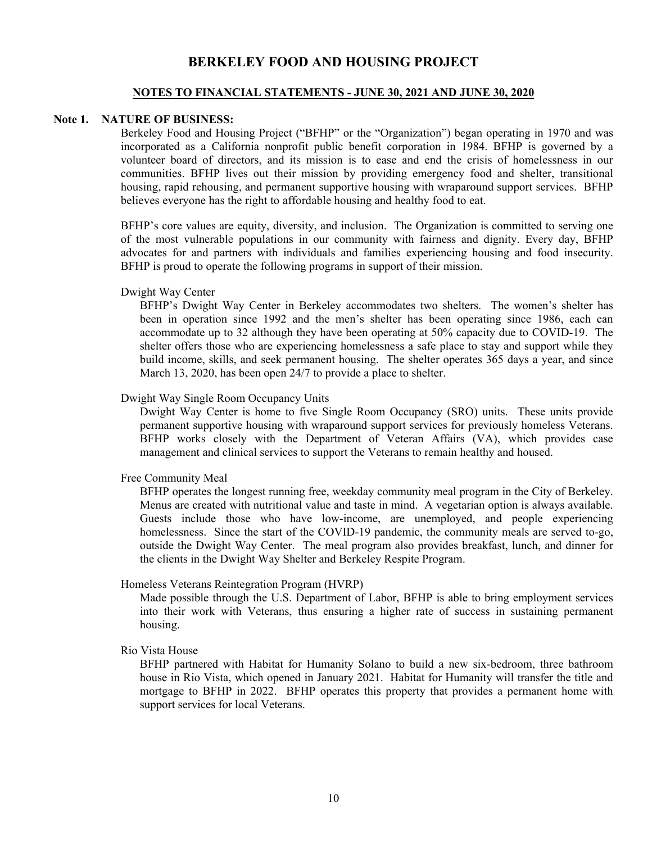## **NOTES TO FINANCIAL STATEMENTS - JUNE 30, 2021 AND JUNE 30, 2020**

## **Note 1. NATURE OF BUSINESS:**

Berkeley Food and Housing Project ("BFHP" or the "Organization") began operating in 1970 and was incorporated as a California nonprofit public benefit corporation in 1984. BFHP is governed by a volunteer board of directors, and its mission is to ease and end the crisis of homelessness in our communities. BFHP lives out their mission by providing emergency food and shelter, transitional housing, rapid rehousing, and permanent supportive housing with wraparound support services. BFHP believes everyone has the right to affordable housing and healthy food to eat.

BFHP's core values are equity, diversity, and inclusion. The Organization is committed to serving one of the most vulnerable populations in our community with fairness and dignity. Every day, BFHP advocates for and partners with individuals and families experiencing housing and food insecurity. BFHP is proud to operate the following programs in support of their mission.

#### Dwight Way Center

BFHP's Dwight Way Center in Berkeley accommodates two shelters. The women's shelter has been in operation since 1992 and the men's shelter has been operating since 1986, each can accommodate up to 32 although they have been operating at 50% capacity due to COVID-19. The shelter offers those who are experiencing homelessness a safe place to stay and support while they build income, skills, and seek permanent housing. The shelter operates 365 days a year, and since March 13, 2020, has been open 24/7 to provide a place to shelter.

#### Dwight Way Single Room Occupancy Units

Dwight Way Center is home to five Single Room Occupancy (SRO) units. These units provide permanent supportive housing with wraparound support services for previously homeless Veterans. BFHP works closely with the Department of Veteran Affairs (VA), which provides case management and clinical services to support the Veterans to remain healthy and housed.

Free Community Meal

BFHP operates the longest running free, weekday community meal program in the City of Berkeley. Menus are created with nutritional value and taste in mind. A vegetarian option is always available. Guests include those who have low-income, are unemployed, and people experiencing homelessness. Since the start of the COVID-19 pandemic, the community meals are served to-go, outside the Dwight Way Center. The meal program also provides breakfast, lunch, and dinner for the clients in the Dwight Way Shelter and Berkeley Respite Program.

#### Homeless Veterans Reintegration Program (HVRP)

Made possible through the U.S. Department of Labor, BFHP is able to bring employment services into their work with Veterans, thus ensuring a higher rate of success in sustaining permanent housing.

#### Rio Vista House

BFHP partnered with Habitat for Humanity Solano to build a new six-bedroom, three bathroom house in Rio Vista, which opened in January 2021. Habitat for Humanity will transfer the title and mortgage to BFHP in 2022. BFHP operates this property that provides a permanent home with support services for local Veterans.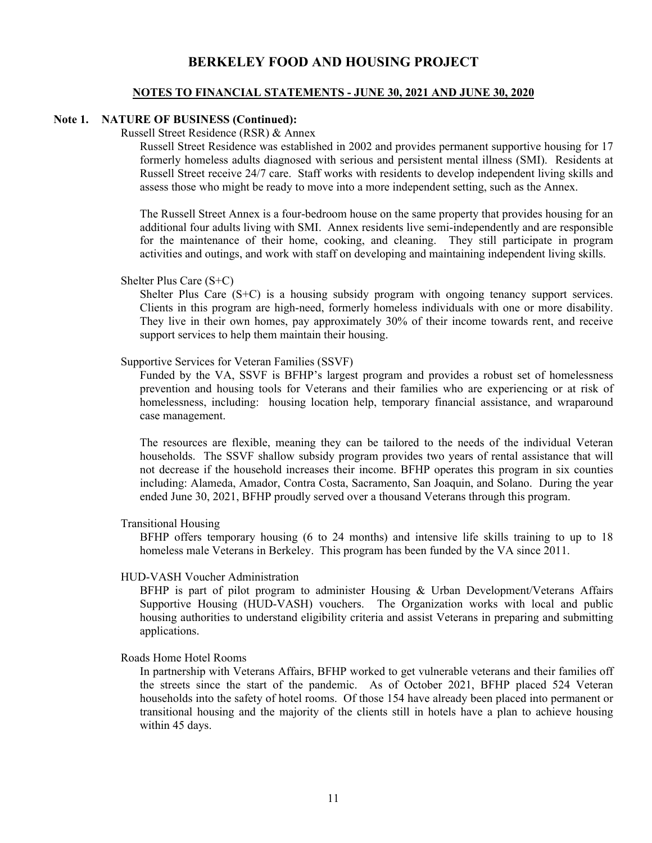#### **NOTES TO FINANCIAL STATEMENTS - JUNE 30, 2021 AND JUNE 30, 2020**

## **Note 1. NATURE OF BUSINESS (Continued):**

Russell Street Residence (RSR) & Annex

Russell Street Residence was established in 2002 and provides permanent supportive housing for 17 formerly homeless adults diagnosed with serious and persistent mental illness (SMI). Residents at Russell Street receive 24/7 care. Staff works with residents to develop independent living skills and assess those who might be ready to move into a more independent setting, such as the Annex.

The Russell Street Annex is a four-bedroom house on the same property that provides housing for an additional four adults living with SMI. Annex residents live semi-independently and are responsible for the maintenance of their home, cooking, and cleaning. They still participate in program activities and outings, and work with staff on developing and maintaining independent living skills.

Shelter Plus Care (S+C)

Shelter Plus Care (S+C) is a housing subsidy program with ongoing tenancy support services. Clients in this program are high-need, formerly homeless individuals with one or more disability. They live in their own homes, pay approximately 30% of their income towards rent, and receive support services to help them maintain their housing.

Supportive Services for Veteran Families (SSVF)

Funded by the VA, SSVF is BFHP's largest program and provides a robust set of homelessness prevention and housing tools for Veterans and their families who are experiencing or at risk of homelessness, including: housing location help, temporary financial assistance, and wraparound case management.

The resources are flexible, meaning they can be tailored to the needs of the individual Veteran households. The SSVF shallow subsidy program provides two years of rental assistance that will not decrease if the household increases their income. BFHP operates this program in six counties including: Alameda, Amador, Contra Costa, Sacramento, San Joaquin, and Solano. During the year ended June 30, 2021, BFHP proudly served over a thousand Veterans through this program.

Transitional Housing

BFHP offers temporary housing (6 to 24 months) and intensive life skills training to up to 18 homeless male Veterans in Berkeley. This program has been funded by the VA since 2011.

#### HUD-VASH Voucher Administration

BFHP is part of pilot program to administer Housing & Urban Development/Veterans Affairs Supportive Housing (HUD-VASH) vouchers. The Organization works with local and public housing authorities to understand eligibility criteria and assist Veterans in preparing and submitting applications.

Roads Home Hotel Rooms

In partnership with Veterans Affairs, BFHP worked to get vulnerable veterans and their families off the streets since the start of the pandemic. As of October 2021, BFHP placed 524 Veteran households into the safety of hotel rooms. Of those 154 have already been placed into permanent or transitional housing and the majority of the clients still in hotels have a plan to achieve housing within 45 days.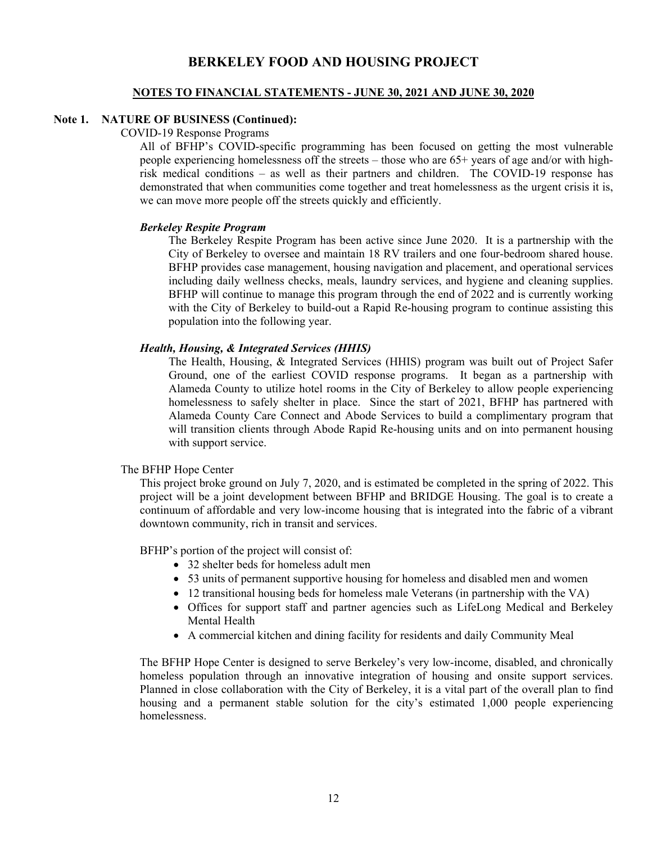### **NOTES TO FINANCIAL STATEMENTS - JUNE 30, 2021 AND JUNE 30, 2020**

## **Note 1. NATURE OF BUSINESS (Continued):**

## COVID-19 Response Programs

All of BFHP's COVID-specific programming has been focused on getting the most vulnerable people experiencing homelessness off the streets – those who are 65+ years of age and/or with highrisk medical conditions – as well as their partners and children. The COVID-19 response has demonstrated that when communities come together and treat homelessness as the urgent crisis it is, we can move more people off the streets quickly and efficiently.

### *Berkeley Respite Program*

The Berkeley Respite Program has been active since June 2020. It is a partnership with the City of Berkeley to oversee and maintain 18 RV trailers and one four-bedroom shared house. BFHP provides case management, housing navigation and placement, and operational services including daily wellness checks, meals, laundry services, and hygiene and cleaning supplies. BFHP will continue to manage this program through the end of 2022 and is currently working with the City of Berkeley to build-out a Rapid Re-housing program to continue assisting this population into the following year.

### *Health, Housing, & Integrated Services (HHIS)*

The Health, Housing, & Integrated Services (HHIS) program was built out of Project Safer Ground, one of the earliest COVID response programs. It began as a partnership with Alameda County to utilize hotel rooms in the City of Berkeley to allow people experiencing homelessness to safely shelter in place. Since the start of 2021, BFHP has partnered with Alameda County Care Connect and Abode Services to build a complimentary program that will transition clients through Abode Rapid Re-housing units and on into permanent housing with support service.

### The BFHP Hope Center

This project broke ground on July 7, 2020, and is estimated be completed in the spring of 2022. This project will be a joint development between BFHP and BRIDGE Housing. The goal is to create a continuum of affordable and very low-income housing that is integrated into the fabric of a vibrant downtown community, rich in transit and services.

BFHP's portion of the project will consist of:

- 32 shelter beds for homeless adult men
- 53 units of permanent supportive housing for homeless and disabled men and women
- 12 transitional housing beds for homeless male Veterans (in partnership with the VA)
- Offices for support staff and partner agencies such as LifeLong Medical and Berkeley Mental Health
- A commercial kitchen and dining facility for residents and daily Community Meal

The BFHP Hope Center is designed to serve Berkeley's very low-income, disabled, and chronically homeless population through an innovative integration of housing and onsite support services. Planned in close collaboration with the City of Berkeley, it is a vital part of the overall plan to find housing and a permanent stable solution for the city's estimated 1,000 people experiencing homelessness.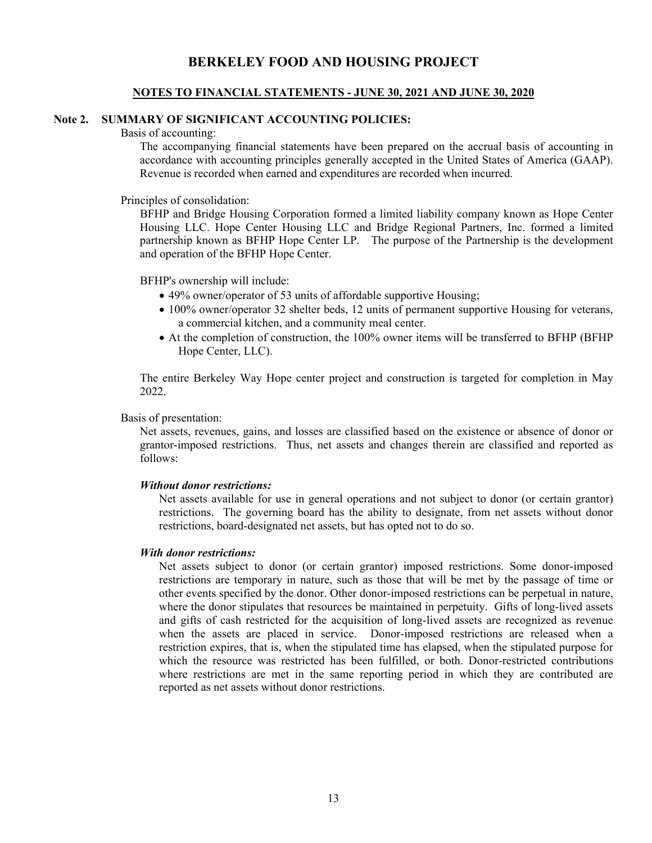## **NOTES TO FINANCIAL STATEMENTS - JUNE 30, 2021 AND JUNE 30, 2020**

## **Note 2. SUMMARY OF SIGNIFICANT ACCOUNTING POLICIES:**

Basis of accounting:

The accompanying financial statements have been prepared on the accrual basis of accounting in accordance with accounting principles generally accepted in the United States of America (GAAP). Revenue is recorded when earned and expenditures are recorded when incurred.

Principles of consolidation:

BFHP and Bridge Housing Corporation formed a limited liability company known as Hope Center Housing LLC. Hope Center Housing LLC and Bridge Regional Partners, Inc. formed a limited partnership known as BFHP Hope Center LP. The purpose of the Partnership is the development and operation of the BFHP Hope Center.

BFHP's ownership will include:

- 49% owner/operator of 53 units of affordable supportive Housing;
- 100% owner/operator 32 shelter beds, 12 units of permanent supportive Housing for veterans, a commercial kitchen, and a community meal center.
- At the completion of construction, the 100% owner items will be transferred to BFHP (BFHP Hope Center, LLC).

The entire Berkeley Way Hope center project and construction is targeted for completion in May 2022.

Basis of presentation:

Net assets, revenues, gains, and losses are classified based on the existence or absence of donor or grantor-imposed restrictions. Thus, net assets and changes therein are classified and reported as follows:

## *Without donor restrictions:*

Net assets available for use in general operations and not subject to donor (or certain grantor) restrictions. The governing board has the ability to designate, from net assets without donor restrictions, board-designated net assets, but has opted not to do so.

#### *With donor restrictions:*

Net assets subject to donor (or certain grantor) imposed restrictions. Some donor-imposed restrictions are temporary in nature, such as those that will be met by the passage of time or other events specified by the donor. Other donor-imposed restrictions can be perpetual in nature, where the donor stipulates that resources be maintained in perpetuity. Gifts of long-lived assets and gifts of cash restricted for the acquisition of long-lived assets are recognized as revenue when the assets are placed in service. Donor-imposed restrictions are released when a restriction expires, that is, when the stipulated time has elapsed, when the stipulated purpose for which the resource was restricted has been fulfilled, or both. Donor-restricted contributions where restrictions are met in the same reporting period in which they are contributed are reported as net assets without donor restrictions.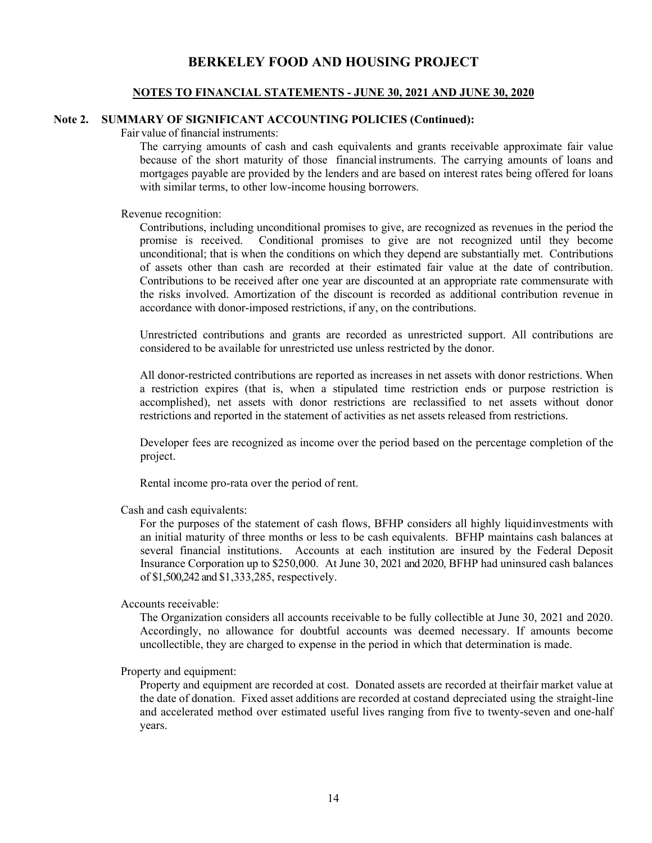### **NOTES TO FINANCIAL STATEMENTS - JUNE 30, 2021 AND JUNE 30, 2020**

## **Note 2. SUMMARY OF SIGNIFICANT ACCOUNTING POLICIES (Continued):**

Fair value of financial instruments:

The carrying amounts of cash and cash equivalents and grants receivable approximate fair value because of the short maturity of those financial instruments. The carrying amounts of loans and mortgages payable are provided by the lenders and are based on interest rates being offered for loans with similar terms, to other low-income housing borrowers.

#### Revenue recognition:

Contributions, including unconditional promises to give, are recognized as revenues in the period the promise is received. Conditional promises to give are not recognized until they become unconditional; that is when the conditions on which they depend are substantially met. Contributions of assets other than cash are recorded at their estimated fair value at the date of contribution. Contributions to be received after one year are discounted at an appropriate rate commensurate with the risks involved. Amortization of the discount is recorded as additional contribution revenue in accordance with donor-imposed restrictions, if any, on the contributions.

Unrestricted contributions and grants are recorded as unrestricted support. All contributions are considered to be available for unrestricted use unless restricted by the donor.

All donor-restricted contributions are reported as increases in net assets with donor restrictions. When a restriction expires (that is, when a stipulated time restriction ends or purpose restriction is accomplished), net assets with donor restrictions are reclassified to net assets without donor restrictions and reported in the statement of activities as net assets released from restrictions.

Developer fees are recognized as income over the period based on the percentage completion of the project.

Rental income pro-rata over the period of rent.

Cash and cash equivalents:

For the purposes of the statement of cash flows, BFHP considers all highly liquid investments with an initial maturity of three months or less to be cash equivalents. BFHP maintains cash balances at several financial institutions. Accounts at each institution are insured by the Federal Deposit Insurance Corporation up to \$250,000. At June 30, 2021 and 2020, BFHP had uninsured cash balances of \$1,500,242 and \$1,333,285, respectively.

Accounts receivable:

The Organization considers all accounts receivable to be fully collectible at June 30, 2021 and 2020. Accordingly, no allowance for doubtful accounts was deemed necessary. If amounts become uncollectible, they are charged to expense in the period in which that determination is made.

Property and equipment:

Property and equipment are recorded at cost. Donated assets are recorded at their fair market value at the date of donation. Fixed asset additions are recorded at costand depreciated using the straight-line and accelerated method over estimated useful lives ranging from five to twenty-seven and one-half years.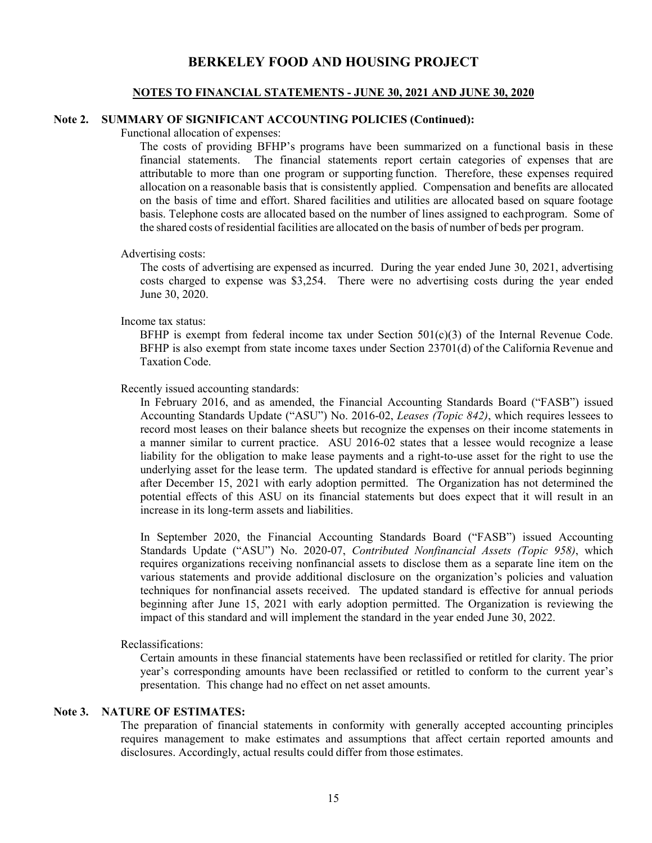## **NOTES TO FINANCIAL STATEMENTS - JUNE 30, 2021 AND JUNE 30, 2020**

# **Note 2. SUMMARY OF SIGNIFICANT ACCOUNTING POLICIES (Continued):**

Functional allocation of expenses:

The costs of providing BFHP's programs have been summarized on a functional basis in these financial statements. The financial statements report certain categories of expenses that are attributable to more than one program or supporting function. Therefore, these expenses required allocation on a reasonable basis that is consistently applied. Compensation and benefits are allocated on the basis of time and effort. Shared facilities and utilities are allocated based on square footage basis. Telephone costs are allocated based on the number of lines assigned to each program. Some of the shared costs of residential facilities are allocated on the basis of number of beds per program.

#### Advertising costs:

The costs of advertising are expensed as incurred. During the year ended June 30, 2021, advertising costs charged to expense was \$3,254. There were no advertising costs during the year ended June 30, 2020.

#### Income tax status:

BFHP is exempt from federal income tax under Section  $501(c)(3)$  of the Internal Revenue Code. BFHP is also exempt from state income taxes under Section 23701(d) of the California Revenue and Taxation Code.

#### Recently issued accounting standards:

In February 2016, and as amended, the Financial Accounting Standards Board ("FASB") issued Accounting Standards Update ("ASU") No. 2016-02, *Leases (Topic 842)*, which requires lessees to record most leases on their balance sheets but recognize the expenses on their income statements in a manner similar to current practice. ASU 2016-02 states that a lessee would recognize a lease liability for the obligation to make lease payments and a right-to-use asset for the right to use the underlying asset for the lease term. The updated standard is effective for annual periods beginning after December 15, 2021 with early adoption permitted. The Organization has not determined the potential effects of this ASU on its financial statements but does expect that it will result in an increase in its long-term assets and liabilities.

In September 2020, the Financial Accounting Standards Board ("FASB") issued Accounting Standards Update ("ASU") No. 2020-07, *Contributed Nonfinancial Assets (Topic 958)*, which requires organizations receiving nonfinancial assets to disclose them as a separate line item on the various statements and provide additional disclosure on the organization's policies and valuation techniques for nonfinancial assets received. The updated standard is effective for annual periods beginning after June 15, 2021 with early adoption permitted. The Organization is reviewing the impact of this standard and will implement the standard in the year ended June 30, 2022.

Reclassifications:

Certain amounts in these financial statements have been reclassified or retitled for clarity. The prior year's corresponding amounts have been reclassified or retitled to conform to the current year's presentation. This change had no effect on net asset amounts.

#### **Note 3. NATURE OF ESTIMATES:**

The preparation of financial statements in conformity with generally accepted accounting principles requires management to make estimates and assumptions that affect certain reported amounts and disclosures. Accordingly, actual results could differ from those estimates.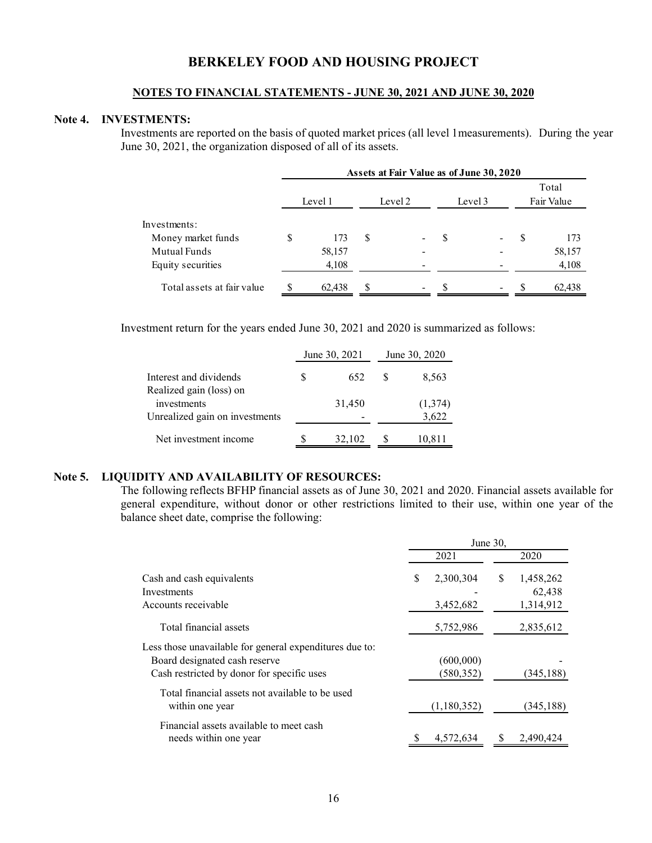## **NOTES TO FINANCIAL STATEMENTS - JUNE 30, 2021 AND JUNE 30, 2020**

## **Note 4. INVESTMENTS:**

Investments are reported on the basis of quoted market prices (all level 1 measurements). During the year June 30, 2021, the organization disposed of all of its assets.

|                            | Assets at Fair Value as of June 30, 2020 |         |               |         |         |                |    |            |
|----------------------------|------------------------------------------|---------|---------------|---------|---------|----------------|----|------------|
|                            |                                          |         |               |         |         |                |    | Total      |
|                            |                                          | Level 1 |               | Level 2 | Level 3 |                |    | Fair Value |
| Investments:               |                                          |         |               |         |         |                |    |            |
| Money market funds         | S                                        | 173     | <sup>\$</sup> |         | S       | $\blacksquare$ | -S | 173        |
| Mutual Funds               |                                          | 58,157  |               |         |         |                |    | 58,157     |
| Equity securities          |                                          | 4,108   |               |         |         |                |    | 4,108      |
| Total assets at fair value |                                          | 62,438  |               | -       |         | -              | S  | 62,438     |

Investment return for the years ended June 30, 2021 and 2020 is summarized as follows:

|                                        |   | June 30, 2021 | June 30, 2020 |         |  |
|----------------------------------------|---|---------------|---------------|---------|--|
| Interest and dividends                 | S | 652           | -S            | 8,563   |  |
| Realized gain (loss) on<br>investments |   | 31,450        |               | (1,374) |  |
| Unrealized gain on investments         |   |               |               | 3,622   |  |
| Net investment income                  |   | 32,102        |               | 10,811  |  |

# **Note 5. LIQUIDITY AND AVAILABILITY OF RESOURCES:**

The following reflects BFHP financial assets as of June 30, 2021 and 2020. Financial assets available for general expenditure, without donor or other restrictions limited to their use, within one year of the balance sheet date, comprise the following:

|                                                         | June $30$ , |             |    |            |
|---------------------------------------------------------|-------------|-------------|----|------------|
|                                                         |             | 2021        |    | 2020       |
| Cash and cash equivalents                               | \$.         | 2,300,304   | -S | 1,458,262  |
| Investments                                             |             |             |    | 62,438     |
| Accounts receivable                                     |             | 3,452,682   |    | 1,314,912  |
| Total financial assets                                  |             | 5,752,986   |    | 2,835,612  |
| Less those unavailable for general expenditures due to: |             |             |    |            |
| Board designated cash reserve                           |             | (600,000)   |    |            |
| Cash restricted by donor for specific uses              |             | (580, 352)  |    | (345, 188) |
| Total financial assets not available to be used         |             |             |    |            |
| within one year                                         |             | (1,180,352) |    | (345, 188) |
| Financial assets available to meet cash                 |             |             |    |            |
| needs within one year                                   |             | 4,572,634   |    | 2,490,424  |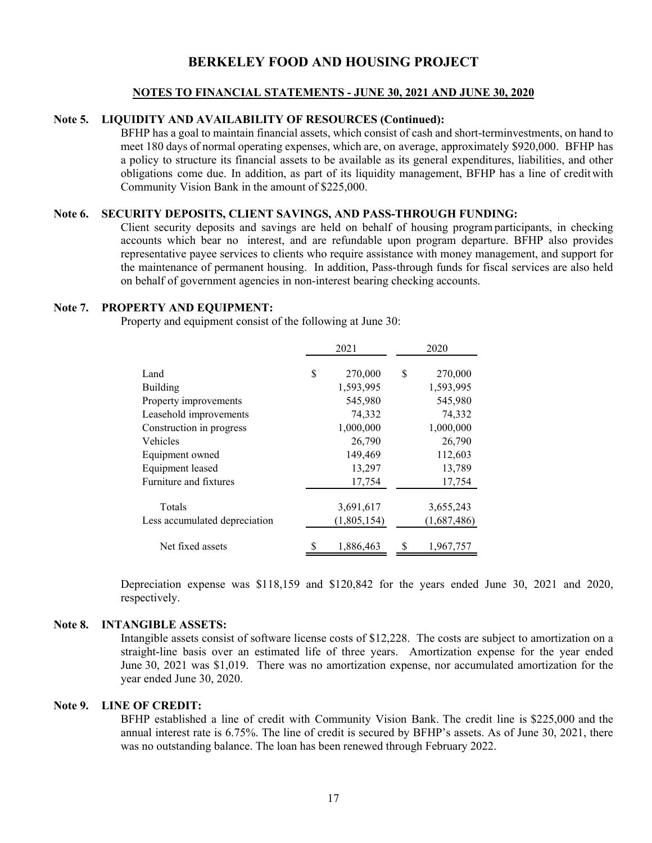### **NOTES TO FINANCIAL STATEMENTS - JUNE 30, 2021 AND JUNE 30, 2020**

## **Note 5. LIQUIDITY AND AVAILABILITY OF RESOURCES (Continued):**

BFHP has a goal to maintain financial assets, which consist of cash and short-terminvestments, on hand to meet 180 days of normal operating expenses, which are, on average, approximately \$920,000. BFHP has a policy to structure its financial assets to be available as its general expenditures, liabilities, and other obligations come due. In addition, as part of its liquidity management, BFHP has a line of credit with Community Vision Bank in the amount of \$225,000.

## **Note 6. SECURITY DEPOSITS, CLIENT SAVINGS, AND PASS-THROUGH FUNDING:**

Client security deposits and savings are held on behalf of housing program participants, in checking accounts which bear no interest, and are refundable upon program departure. BFHP also provides representative payee services to clients who require assistance with money management, and support for the maintenance of permanent housing. In addition, Pass-through funds for fiscal services are also held on behalf of government agencies in non-interest bearing checking accounts.

## **Note 7. PROPERTY AND EQUIPMENT:**

Property and equipment consist of the following at June 30:

|                               | 2021          | 2020          |
|-------------------------------|---------------|---------------|
| Land                          | \$<br>270,000 | \$<br>270,000 |
| Building                      | 1,593,995     | 1,593,995     |
| Property improvements         | 545,980       | 545,980       |
| Leasehold improvements        | 74,332        | 74,332        |
| Construction in progress      | 1,000,000     | 1,000,000     |
| Vehicles                      | 26,790        | 26,790        |
| Equipment owned               | 149,469       | 112,603       |
| Equipment leased              | 13,297        | 13,789        |
| Furniture and fixtures        | 17,754        | 17,754        |
| Totals                        | 3,691,617     | 3,655,243     |
| Less accumulated depreciation | (1,805,154)   | (1,687,486)   |
| Net fixed assets              | 1,886,463     | 1,967,757     |

Depreciation expense was \$118,159 and \$120,842 for the years ended June 30, 2021 and 2020, respectively.

#### **Note 8. INTANGIBLE ASSETS:**

Intangible assets consist of software license costs of \$12,228. The costs are subject to amortization on a straight-line basis over an estimated life of three years. Amortization expense for the year ended June 30, 2021 was \$1,019. There was no amortization expense, nor accumulated amortization for the year ended June 30, 2020.

#### **Note 9. LINE OF CREDIT:**

BFHP established a line of credit with Community Vision Bank. The credit line is \$225,000 and the annual interest rate is 6.75%. The line of credit is secured by BFHP's assets. As of June 30, 2021, there was no outstanding balance. The loan has been renewed through February 2022.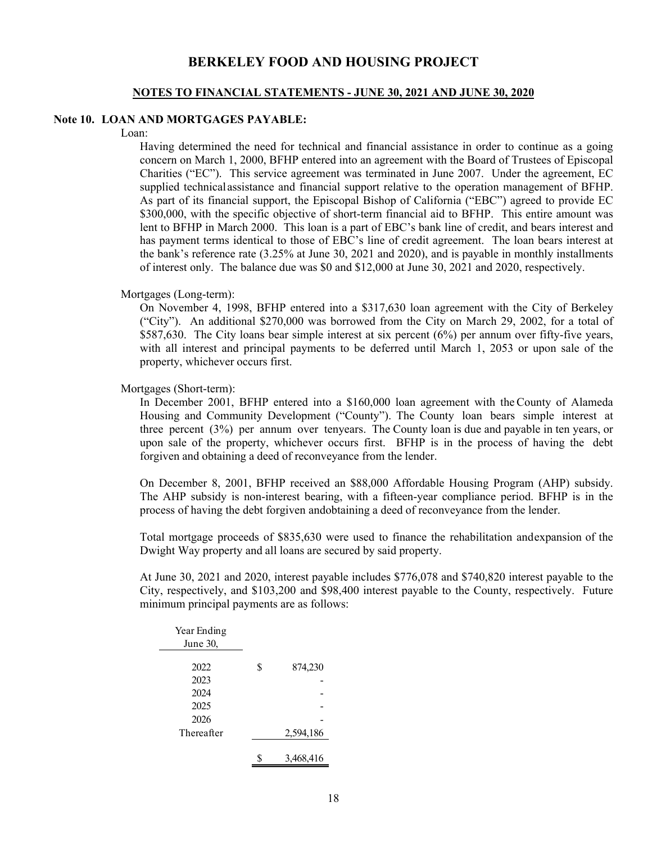#### **NOTES TO FINANCIAL STATEMENTS - JUNE 30, 2021 AND JUNE 30, 2020**

## **Note 10. LOAN AND MORTGAGES PAYABLE:**

Loan:

Having determined the need for technical and financial assistance in order to continue as a going concern on March 1, 2000, BFHP entered into an agreement with the Board of Trustees of Episcopal Charities ("EC"). This service agreement was terminated in June 2007. Under the agreement, EC supplied technical assistance and financial support relative to the operation management of BFHP. As part of its financial support, the Episcopal Bishop of California ("EBC") agreed to provide EC \$300,000, with the specific objective of short-term financial aid to BFHP. This entire amount was lent to BFHP in March 2000. This loan is a part of EBC's bank line of credit, and bears interest and has payment terms identical to those of EBC's line of credit agreement. The loan bears interest at the bank's reference rate (3.25% at June 30, 2021 and 2020), and is payable in monthly installments of interest only. The balance due was \$0 and \$12,000 at June 30, 2021 and 2020, respectively.

#### Mortgages (Long-term):

On November 4, 1998, BFHP entered into a \$317,630 loan agreement with the City of Berkeley ("City"). An additional \$270,000 was borrowed from the City on March 29, 2002, for a total of \$587,630. The City loans bear simple interest at six percent (6%) per annum over fifty-five years, with all interest and principal payments to be deferred until March 1, 2053 or upon sale of the property, whichever occurs first.

Mortgages (Short-term):

In December 2001, BFHP entered into a \$160,000 loan agreement with the County of Alameda Housing and Community Development ("County"). The County loan bears simple interest at three percent  $(3%)$  per annum over ten years. The County loan is due and payable in ten years, or upon sale of the property, whichever occurs first. BFHP is in the process of having the debt forgiven and obtaining a deed of reconveyance from the lender.

On December 8, 2001, BFHP received an \$88,000 Affordable Housing Program (AHP) subsidy. The AHP subsidy is non-interest bearing, with a fifteen-year compliance period. BFHP is in the process of having the debt forgiven and obtaining a deed of reconveyance from the lender.

Total mortgage proceeds of \$835,630 were used to finance the rehabilitation and expansion of the Dwight Way property and all loans are secured by said property.

At June 30, 2021 and 2020, interest payable includes \$776,078 and \$740,820 interest payable to the City, respectively, and \$103,200 and \$98,400 interest payable to the County, respectively. Future minimum principal payments are as follows:

| Year Ending<br>June 30, |    |           |
|-------------------------|----|-----------|
| 2022                    | \$ | 874,230   |
| 2023                    |    |           |
| 2024                    |    |           |
| 2025                    |    |           |
| 2026                    |    |           |
| Thereafter              |    | 2,594,186 |
|                         |    |           |
|                         | S  | 3,468,416 |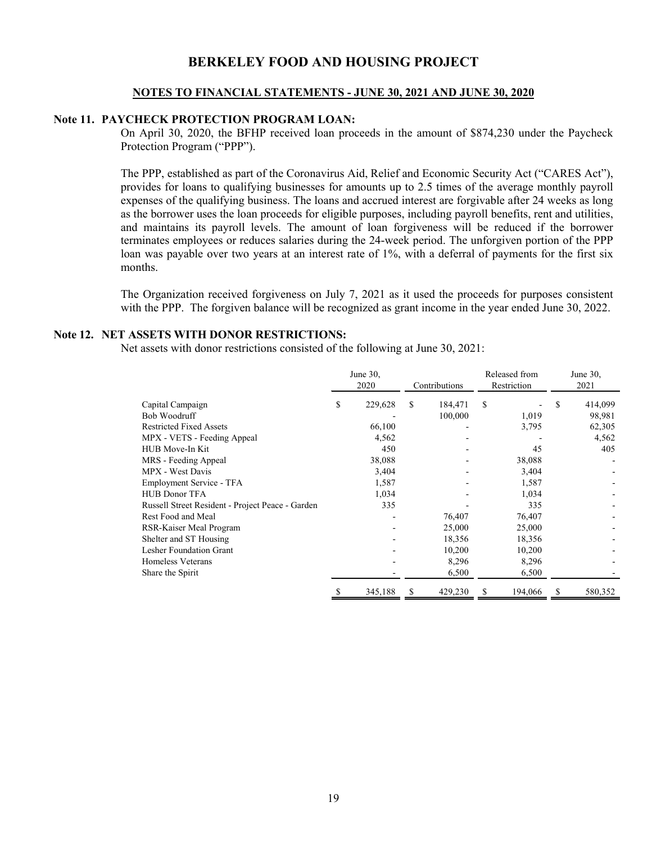### **NOTES TO FINANCIAL STATEMENTS - JUNE 30, 2021 AND JUNE 30, 2020**

# **Note 11. PAYCHECK PROTECTION PROGRAM LOAN:**

On April 30, 2020, the BFHP received loan proceeds in the amount of \$874,230 under the Paycheck Protection Program ("PPP").

The PPP, established as part of the Coronavirus Aid, Relief and Economic Security Act ("CARES Act"), provides for loans to qualifying businesses for amounts up to 2.5 times of the average monthly payroll expenses of the qualifying business. The loans and accrued interest are forgivable after 24 weeks as long as the borrower uses the loan proceeds for eligible purposes, including payroll benefits, rent and utilities, and maintains its payroll levels. The amount of loan forgiveness will be reduced if the borrower terminates employees or reduces salaries during the 24-week period. The unforgiven portion of the PPP loan was payable over two years at an interest rate of 1%, with a deferral of payments for the first six months.

The Organization received forgiveness on July 7, 2021 as it used the proceeds for purposes consistent with the PPP. The forgiven balance will be recognized as grant income in the year ended June 30, 2022.

## **Note 12. NET ASSETS WITH DONOR RESTRICTIONS:**

Net assets with donor restrictions consisted of the following at June 30, 2021:

|                                                  |    | June $30$ ,<br>2020 |    | Contributions |    | Released from<br>Restriction |    | June 30,<br>2021 |
|--------------------------------------------------|----|---------------------|----|---------------|----|------------------------------|----|------------------|
| Capital Campaign                                 | S  | 229,628             | S  | 184,471       | S  |                              | S  | 414,099          |
| Bob Woodruff                                     |    |                     |    | 100,000       |    | 1,019                        |    | 98,981           |
| <b>Restricted Fixed Assets</b>                   |    | 66,100              |    |               |    | 3,795                        |    | 62,305           |
| MPX - VETS - Feeding Appeal                      |    | 4,562               |    |               |    |                              |    | 4,562            |
| HUB Move-In Kit                                  |    | 450                 |    |               |    | 45                           |    | 405              |
| MRS - Feeding Appeal                             |    | 38,088              |    |               |    | 38,088                       |    |                  |
| MPX - West Davis                                 |    | 3,404               |    |               |    | 3,404                        |    |                  |
| Employment Service - TFA                         |    | 1,587               |    |               |    | 1,587                        |    |                  |
| <b>HUB Donor TFA</b>                             |    | 1,034               |    |               |    | 1,034                        |    |                  |
| Russell Street Resident - Project Peace - Garden |    | 335                 |    |               |    | 335                          |    |                  |
| Rest Food and Meal                               |    |                     |    | 76,407        |    | 76,407                       |    |                  |
| RSR-Kaiser Meal Program                          |    |                     |    | 25,000        |    | 25,000                       |    |                  |
| Shelter and ST Housing                           |    |                     |    | 18,356        |    | 18,356                       |    |                  |
| Lesher Foundation Grant                          |    |                     |    | 10,200        |    | 10,200                       |    |                  |
| Homeless Veterans                                |    |                     |    | 8,296         |    | 8,296                        |    |                  |
| Share the Spirit                                 |    |                     |    | 6,500         |    | 6,500                        |    |                  |
|                                                  | \$ | 345,188             | \$ | 429,230       | \$ | 194,066                      | \$ | 580,352          |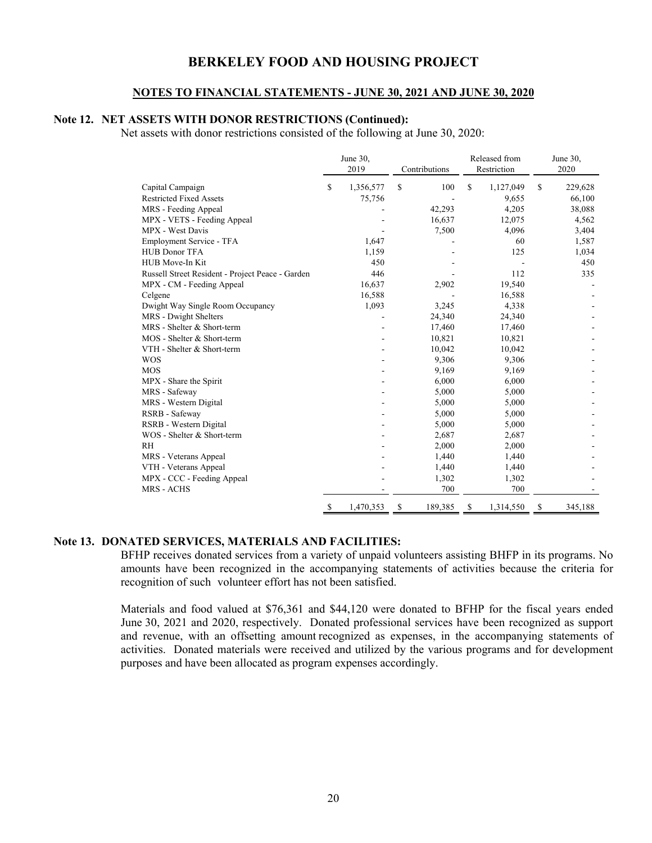#### **NOTES TO FINANCIAL STATEMENTS - JUNE 30, 2021 AND JUNE 30, 2020**

## **Note 12. NET ASSETS WITH DONOR RESTRICTIONS (Continued):**

Net assets with donor restrictions consisted of the following at June 30, 2020:

|                                                  | June 30, |           |    |               | Released from |             | June 30, |         |
|--------------------------------------------------|----------|-----------|----|---------------|---------------|-------------|----------|---------|
|                                                  |          | 2019      |    | Contributions |               | Restriction |          | 2020    |
| Capital Campaign                                 | \$       | 1,356,577 | S  | 100           | <sup>\$</sup> | 1,127,049   | \$       | 229,628 |
| <b>Restricted Fixed Assets</b>                   |          | 75,756    |    |               |               | 9,655       |          | 66,100  |
| MRS - Feeding Appeal                             |          |           |    | 42,293        |               | 4,205       |          | 38,088  |
| MPX - VETS - Feeding Appeal                      |          |           |    | 16,637        |               | 12,075      |          | 4,562   |
| MPX - West Davis                                 |          |           |    | 7,500         |               | 4,096       |          | 3,404   |
| Employment Service - TFA                         |          | 1,647     |    |               |               | 60          |          | 1,587   |
| <b>HUB Donor TFA</b>                             |          | 1,159     |    |               |               | 125         |          | 1,034   |
| HUB Move-In Kit                                  |          | 450       |    |               |               |             |          | 450     |
| Russell Street Resident - Project Peace - Garden |          | 446       |    |               |               | 112         |          | 335     |
| MPX - CM - Feeding Appeal                        |          | 16,637    |    | 2,902         |               | 19,540      |          |         |
| Celgene                                          |          | 16,588    |    |               |               | 16,588      |          |         |
| Dwight Way Single Room Occupancy                 |          | 1,093     |    | 3,245         |               | 4,338       |          |         |
| MRS - Dwight Shelters                            |          |           |    | 24,340        |               | 24,340      |          |         |
| MRS - Shelter & Short-term                       |          |           |    | 17,460        |               | 17,460      |          |         |
| MOS - Shelter & Short-term                       |          |           |    | 10,821        |               | 10,821      |          |         |
| VTH - Shelter & Short-term                       |          |           |    | 10,042        |               | 10,042      |          |         |
| <b>WOS</b>                                       |          |           |    | 9,306         |               | 9,306       |          |         |
| <b>MOS</b>                                       |          |           |    | 9,169         |               | 9,169       |          |         |
| MPX - Share the Spirit                           |          |           |    | 6,000         |               | 6,000       |          |         |
| MRS - Safeway                                    |          |           |    | 5,000         |               | 5,000       |          |         |
| MRS - Western Digital                            |          |           |    | 5,000         |               | 5,000       |          |         |
| RSRB - Safeway                                   |          |           |    | 5,000         |               | 5,000       |          |         |
| RSRB - Western Digital                           |          |           |    | 5,000         |               | 5,000       |          |         |
| WOS - Shelter & Short-term                       |          |           |    | 2,687         |               | 2,687       |          |         |
| <b>RH</b>                                        |          |           |    | 2,000         |               | 2,000       |          |         |
| MRS - Veterans Appeal                            |          |           |    | 1,440         |               | 1,440       |          |         |
| VTH - Veterans Appeal                            |          |           |    | 1,440         |               | 1,440       |          |         |
| MPX - CCC - Feeding Appeal                       |          |           |    | 1,302         |               | 1,302       |          |         |
| MRS - ACHS                                       |          |           |    | 700           |               | 700         |          |         |
|                                                  | S        | 1,470,353 | \$ | 189,385       | \$            | 1,314,550   | \$       | 345,188 |

## **Note 13. DONATED SERVICES, MATERIALS AND FACILITIES:**

BFHP receives donated services from a variety of unpaid volunteers assisting BHFP in its programs. No amounts have been recognized in the accompanying statements of activities because the criteria for recognition of such volunteer effort has not been satisfied.

Materials and food valued at \$76,361 and \$44,120 were donated to BFHP for the fiscal years ended June 30, 2021 and 2020, respectively. Donated professional services have been recognized as support and revenue, with an offsetting amount recognized as expenses, in the accompanying statements of activities. Donated materials were received and utilized by the various programs and for development purposes and have been allocated as program expenses accordingly.